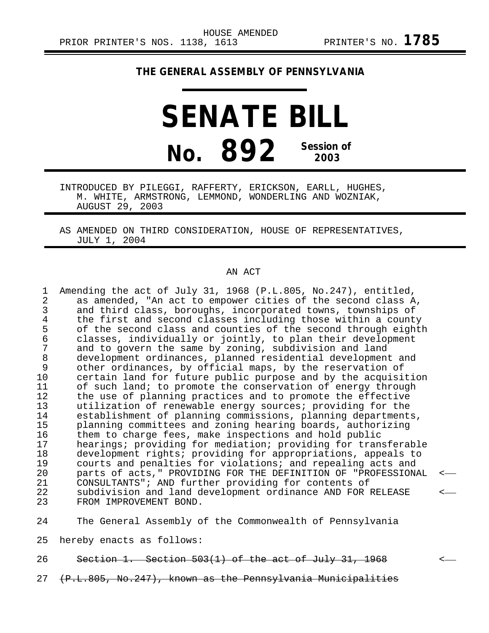## **THE GENERAL ASSEMBLY OF PENNSYLVANIA**

## **SENATE BILL No. 892 Session of 2003**

INTRODUCED BY PILEGGI, RAFFERTY, ERICKSON, EARLL, HUGHES, M. WHITE, ARMSTRONG, LEMMOND, WONDERLING AND WOZNIAK, AUGUST 29, 2003

AS AMENDED ON THIRD CONSIDERATION, HOUSE OF REPRESENTATIVES, JULY 1, 2004

## AN ACT

| $\mathbf{1}$<br>$\overline{2}$<br>3<br>4<br>5<br>6<br>7<br>$\, 8$<br>9<br>10<br>11<br>12<br>13<br>14<br>15<br>16<br>17<br>18<br>19<br>20 | Amending the act of July 31, 1968 (P.L.805, No.247), entitled,<br>as amended, "An act to empower cities of the second class A,<br>and third class, boroughs, incorporated towns, townships of<br>the first and second classes including those within a county<br>of the second class and counties of the second through eighth<br>classes, individually or jointly, to plan their development<br>and to govern the same by zoning, subdivision and land<br>development ordinances, planned residential development and<br>other ordinances, by official maps, by the reservation of<br>certain land for future public purpose and by the acquisition<br>of such land; to promote the conservation of energy through<br>the use of planning practices and to promote the effective<br>utilization of renewable energy sources; providing for the<br>establishment of planning commissions, planning departments,<br>planning committees and zoning hearing boards, authorizing<br>them to charge fees, make inspections and hold public<br>hearings; providing for mediation; providing for transferable<br>development rights; providing for appropriations, appeals to<br>courts and penalties for violations; and repealing acts and<br>parts of acts," PROVIDING FOR THE DEFINITION OF "PROFESSIONAL | $\leftarrow$ |
|------------------------------------------------------------------------------------------------------------------------------------------|---------------------------------------------------------------------------------------------------------------------------------------------------------------------------------------------------------------------------------------------------------------------------------------------------------------------------------------------------------------------------------------------------------------------------------------------------------------------------------------------------------------------------------------------------------------------------------------------------------------------------------------------------------------------------------------------------------------------------------------------------------------------------------------------------------------------------------------------------------------------------------------------------------------------------------------------------------------------------------------------------------------------------------------------------------------------------------------------------------------------------------------------------------------------------------------------------------------------------------------------------------------------------------------------------------|--------------|
| 21                                                                                                                                       | CONSULTANTS"; AND further providing for contents of                                                                                                                                                                                                                                                                                                                                                                                                                                                                                                                                                                                                                                                                                                                                                                                                                                                                                                                                                                                                                                                                                                                                                                                                                                                     |              |
| 22<br>23                                                                                                                                 | subdivision and land development ordinance AND FOR RELEASE<br>FROM IMPROVEMENT BOND.                                                                                                                                                                                                                                                                                                                                                                                                                                                                                                                                                                                                                                                                                                                                                                                                                                                                                                                                                                                                                                                                                                                                                                                                                    | <—           |
| 24                                                                                                                                       | The General Assembly of the Commonwealth of Pennsylvania                                                                                                                                                                                                                                                                                                                                                                                                                                                                                                                                                                                                                                                                                                                                                                                                                                                                                                                                                                                                                                                                                                                                                                                                                                                |              |
|                                                                                                                                          |                                                                                                                                                                                                                                                                                                                                                                                                                                                                                                                                                                                                                                                                                                                                                                                                                                                                                                                                                                                                                                                                                                                                                                                                                                                                                                         |              |

25 hereby enacts as follows:

26 Section 1. Section 503(1) of the act of July 31, 1968 <

27 (P.L.805, No.247), known as the Pennsylvania Municipalities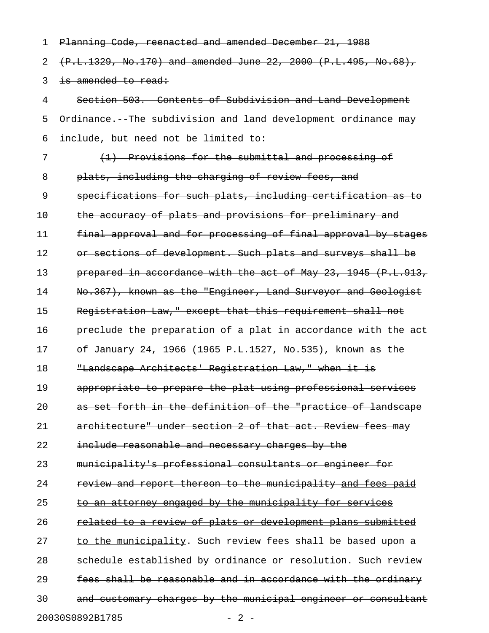| 1  | Planning Code, reenacted and amended December 21, 1988             |
|----|--------------------------------------------------------------------|
| 2  | $(P.L.1329, No.170)$ and amended June 22, 2000 (P.L.495, No.68),   |
| 3  | is amended to read:                                                |
| 4  | Section 503. Contents of Subdivision and Land Development          |
| 5  | Ordinance. The subdivision and land development ordinance may      |
| 6  | include, but need not be limited to:                               |
| 7  | (1) Provisions for the submittal and processing of                 |
| 8  | plats, including the charging of review fees, and                  |
| 9  | specifications for such plats, including certification as to       |
| 10 | the accuracy of plats and provisions for preliminary and           |
| 11 | final approval and for processing of final approval by stages      |
| 12 | or sections of development. Such plats and surveys shall be        |
| 13 | prepared in accordance with the act of May 23, 1945 (P.L.913,      |
| 14 | No.367), known as the "Engineer, Land Surveyor and Geologist       |
| 15 | Registration Law," except that this requirement shall not          |
| 16 | preclude the preparation of a plat in accordance with the act      |
| 17 | of January 24, 1966 (1965 P.L.1527, No.535), known as the          |
| 18 | "Landscape Architects' Registration Law," when it is               |
| 19 | appropriate to prepare the plat using professional services        |
| 20 | as set forth in the definition of the "practice of landscape       |
| 21 | architecture" under section 2 of that act. Review fees may         |
| 22 | include reasonable and necessary charges by the                    |
| 23 | municipality's professional consultants or engineer for            |
| 24 | review and report thereon to the municipality and fees paid        |
| 25 | to an attorney engaged by the municipality for services            |
| 26 | <u>related to a review of plats or development plans submitted</u> |
| 27 | to the municipality. Such review fees shall be based upon a        |
| 28 | schedule established by ordinance or resolution. Such review       |
| 29 | fees shall be reasonable and in accordance with the ordinary       |
| 30 | and customary charges by the municipal engineer or consultant      |
|    | 20030S0892B1785<br>$-2-$                                           |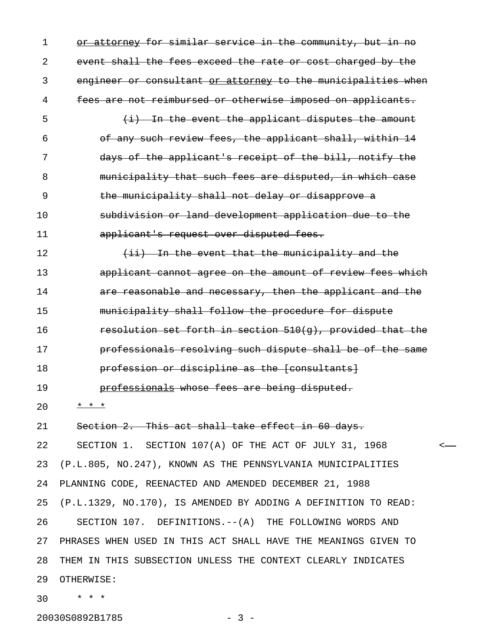1 or attorney for similar service in the community, but in no 2 event shall the fees exceed the rate or cost charged by the 3 engineer or consultant or attorney to the municipalities when 4 fees are not reimbursed or otherwise imposed on applicants.  $\frac{1}{1}$   $\frac{1}{1}$  In the event the applicant disputes the amount 6 of any such review fees, the applicant shall, within 14 7 days of the applicant's receipt of the bill, notify the 8 municipality that such fees are disputed, in which case 9 the municipality shall not delay or disapprove a 10 subdivision or land development application due to the 11 applicant's request over disputed fees. 12 (ii) In the event that the municipality and the 13 applicant cannot agree on the amount of review fees which 14 **are reasonable and necessary, then the applicant and the** 15 municipality shall follow the procedure for dispute 16 **resolution set forth in section 510(g), provided that the** 17 **professionals resolving such dispute shall be of the same** 18 **profession or discipline as the [consultants]** 19 **professionals whose fees are being disputed.** 20 \* \* \* 21 Section 2. This act shall take effect in 60 days. 22 SECTION 1. SECTION 107(A) OF THE ACT OF JULY 31, 1968 < 23 (P.L.805, NO.247), KNOWN AS THE PENNSYLVANIA MUNICIPALITIES 24 PLANNING CODE, REENACTED AND AMENDED DECEMBER 21, 1988 25 (P.L.1329, NO.170), IS AMENDED BY ADDING A DEFINITION TO READ: 26 SECTION 107. DEFINITIONS.--(A) THE FOLLOWING WORDS AND 27 PHRASES WHEN USED IN THIS ACT SHALL HAVE THE MEANINGS GIVEN TO 28 THEM IN THIS SUBSECTION UNLESS THE CONTEXT CLEARLY INDICATES 29 OTHERWISE: 30 \* \* \*

20030S0892B1785 - 3 -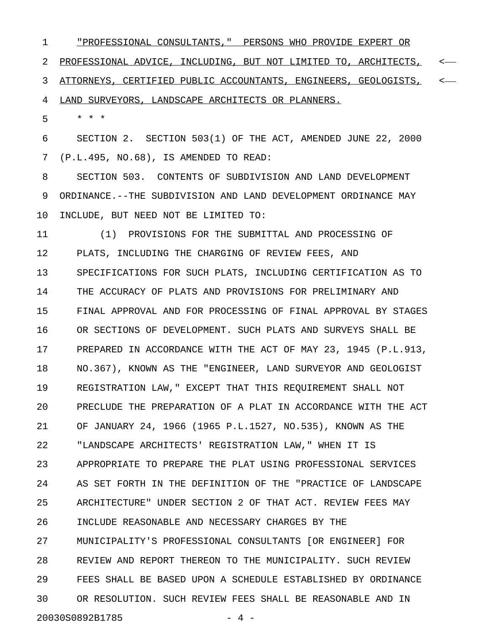1 "PROFESSIONAL CONSULTANTS," PERSONS WHO PROVIDE EXPERT OR \_\_\_\_\_\_\_\_\_\_\_\_\_\_\_\_\_\_\_\_\_\_\_\_\_\_\_\_\_\_\_\_\_\_\_\_\_\_\_\_\_\_\_\_\_\_\_\_\_\_\_\_\_\_\_\_\_\_ 2 PROFESSIONAL ADVICE, INCLUDING, BUT NOT LIMITED TO, ARCHITECTS, <-3 ATTORNEYS, CERTIFIED PUBLIC ACCOUNTANTS, ENGINEERS, GEOLOGISTS, < 4 LAND SURVEYORS, LANDSCAPE ARCHITECTS OR PLANNERS.

5 \* \* \*

6 SECTION 2. SECTION 503(1) OF THE ACT, AMENDED JUNE 22, 2000 7 (P.L.495, NO.68), IS AMENDED TO READ:

8 SECTION 503. CONTENTS OF SUBDIVISION AND LAND DEVELOPMENT 9 ORDINANCE.--THE SUBDIVISION AND LAND DEVELOPMENT ORDINANCE MAY 10 INCLUDE, BUT NEED NOT BE LIMITED TO:

11 (1) PROVISIONS FOR THE SUBMITTAL AND PROCESSING OF 12 PLATS, INCLUDING THE CHARGING OF REVIEW FEES, AND 13 SPECIFICATIONS FOR SUCH PLATS, INCLUDING CERTIFICATION AS TO 14 THE ACCURACY OF PLATS AND PROVISIONS FOR PRELIMINARY AND 15 FINAL APPROVAL AND FOR PROCESSING OF FINAL APPROVAL BY STAGES 16 OR SECTIONS OF DEVELOPMENT. SUCH PLATS AND SURVEYS SHALL BE 17 PREPARED IN ACCORDANCE WITH THE ACT OF MAY 23, 1945 (P.L.913, 18 NO.367), KNOWN AS THE "ENGINEER, LAND SURVEYOR AND GEOLOGIST 19 REGISTRATION LAW," EXCEPT THAT THIS REQUIREMENT SHALL NOT 20 PRECLUDE THE PREPARATION OF A PLAT IN ACCORDANCE WITH THE ACT 21 OF JANUARY 24, 1966 (1965 P.L.1527, NO.535), KNOWN AS THE 22 "LANDSCAPE ARCHITECTS' REGISTRATION LAW," WHEN IT IS 23 APPROPRIATE TO PREPARE THE PLAT USING PROFESSIONAL SERVICES 24 AS SET FORTH IN THE DEFINITION OF THE "PRACTICE OF LANDSCAPE 25 ARCHITECTURE" UNDER SECTION 2 OF THAT ACT. REVIEW FEES MAY 26 INCLUDE REASONABLE AND NECESSARY CHARGES BY THE 27 MUNICIPALITY'S PROFESSIONAL CONSULTANTS [OR ENGINEER] FOR 28 REVIEW AND REPORT THEREON TO THE MUNICIPALITY. SUCH REVIEW 29 FEES SHALL BE BASED UPON A SCHEDULE ESTABLISHED BY ORDINANCE 30 OR RESOLUTION. SUCH REVIEW FEES SHALL BE REASONABLE AND IN 20030S0892B1785 - 4 -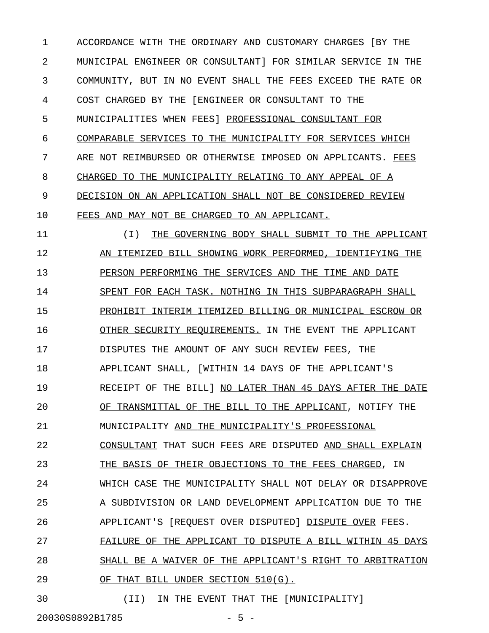1 ACCORDANCE WITH THE ORDINARY AND CUSTOMARY CHARGES [BY THE 2 MUNICIPAL ENGINEER OR CONSULTANT] FOR SIMILAR SERVICE IN THE 3 COMMUNITY, BUT IN NO EVENT SHALL THE FEES EXCEED THE RATE OR 4 COST CHARGED BY THE [ENGINEER OR CONSULTANT TO THE 5 MUNICIPALITIES WHEN FEES] PROFESSIONAL CONSULTANT FOR 6 COMPARABLE SERVICES TO THE MUNICIPALITY FOR SERVICES WHICH 7 ARE NOT REIMBURSED OR OTHERWISE IMPOSED ON APPLICANTS. FEES 8 CHARGED TO THE MUNICIPALITY RELATING TO ANY APPEAL OF A 9 DECISION ON AN APPLICATION SHALL NOT BE CONSIDERED REVIEW 10 FEES AND MAY NOT BE CHARGED TO AN APPLICANT.

11 (I) THE GOVERNING BODY SHALL SUBMIT TO THE APPLICANT \_\_\_\_\_\_\_\_\_\_\_\_\_\_\_\_\_\_\_\_\_\_\_\_\_\_\_\_\_\_\_\_\_\_\_\_\_\_\_\_\_\_\_\_\_\_\_\_ 12 AN ITEMIZED BILL SHOWING WORK PERFORMED, IDENTIFYING THE 13 PERSON PERFORMING THE SERVICES AND THE TIME AND DATE 14 SPENT FOR EACH TASK. NOTHING IN THIS SUBPARAGRAPH SHALL 15 PROHIBIT INTERIM ITEMIZED BILLING OR MUNICIPAL ESCROW OR 16 OTHER SECURITY REQUIREMENTS. IN THE EVENT THE APPLICANT 17 DISPUTES THE AMOUNT OF ANY SUCH REVIEW FEES, THE 18 APPLICANT SHALL, [WITHIN 14 DAYS OF THE APPLICANT'S 19 RECEIPT OF THE BILL] NO LATER THAN 45 DAYS AFTER THE DATE 20 OF TRANSMITTAL OF THE BILL TO THE APPLICANT, NOTIFY THE 21 MUNICIPALITY AND THE MUNICIPALITY'S PROFESSIONAL 22 CONSULTANT THAT SUCH FEES ARE DISPUTED AND SHALL EXPLAIN 23 THE BASIS OF THEIR OBJECTIONS TO THE FEES CHARGED, IN 24 WHICH CASE THE MUNICIPALITY SHALL NOT DELAY OR DISAPPROVE 25 A SUBDIVISION OR LAND DEVELOPMENT APPLICATION DUE TO THE 26 APPLICANT'S [REQUEST OVER DISPUTED] DISPUTE OVER FEES. 27 FAILURE OF THE APPLICANT TO DISPUTE A BILL WITHIN 45 DAYS 28 SHALL BE A WAIVER OF THE APPLICANT'S RIGHT TO ARBITRATION 29 OF THAT BILL UNDER SECTION 510(G).

30 (II) IN THE EVENT THAT THE [MUNICIPALITY]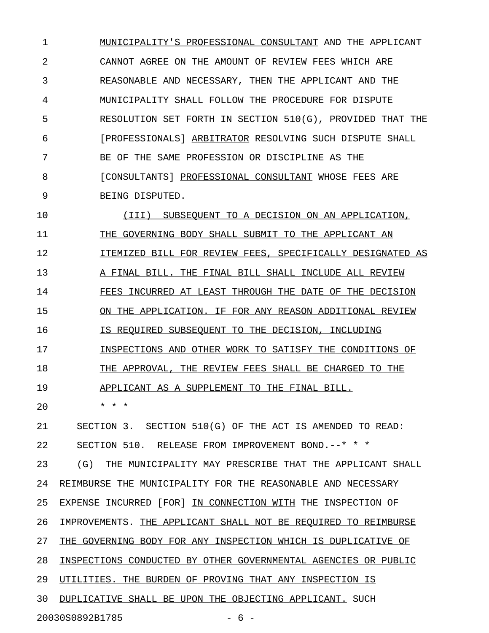1 MUNICIPALITY'S PROFESSIONAL CONSULTANT AND THE APPLICANT 2 CANNOT AGREE ON THE AMOUNT OF REVIEW FEES WHICH ARE 3 REASONABLE AND NECESSARY, THEN THE APPLICANT AND THE 4 MUNICIPALITY SHALL FOLLOW THE PROCEDURE FOR DISPUTE 5 RESOLUTION SET FORTH IN SECTION 510(G), PROVIDED THAT THE 6 [PROFESSIONALS] ARBITRATOR RESOLVING SUCH DISPUTE SHALL 7 BE OF THE SAME PROFESSION OR DISCIPLINE AS THE 8 [CONSULTANTS] PROFESSIONAL CONSULTANT WHOSE FEES ARE 9 BEING DISPUTED.

10  $(III)$  SUBSEQUENT TO A DECISION ON AN APPLICATION, 11 THE GOVERNING BODY SHALL SUBMIT TO THE APPLICANT AN 12 **ITEMIZED BILL FOR REVIEW FEES, SPECIFICALLY DESIGNATED AS** 13 A FINAL BILL. THE FINAL BILL SHALL INCLUDE ALL REVIEW 14 FEES INCURRED AT LEAST THROUGH THE DATE OF THE DECISION 15 ON THE APPLICATION. IF FOR ANY REASON ADDITIONAL REVIEW 16 IS REQUIRED SUBSEQUENT TO THE DECISION, INCLUDING 17 INSPECTIONS AND OTHER WORK TO SATISFY THE CONDITIONS OF 18 THE APPROVAL, THE REVIEW FEES SHALL BE CHARGED TO THE 19 APPLICANT AS A SUPPLEMENT TO THE FINAL BILL. 20 \* \* \* 21 SECTION 3. SECTION 510(G) OF THE ACT IS AMENDED TO READ: 22 SECTION 510. RELEASE FROM IMPROVEMENT BOND.--\* \* \* 23 (G) THE MUNICIPALITY MAY PRESCRIBE THAT THE APPLICANT SHALL 24 REIMBURSE THE MUNICIPALITY FOR THE REASONABLE AND NECESSARY 25 EXPENSE INCURRED [FOR] IN CONNECTION WITH THE INSPECTION OF 26 IMPROVEMENTS. THE APPLICANT SHALL NOT BE REQUIRED TO REIMBURSE 27 THE GOVERNING BODY FOR ANY INSPECTION WHICH IS DUPLICATIVE OF 28 INSPECTIONS CONDUCTED BY OTHER GOVERNMENTAL AGENCIES OR PUBLIC 29 UTILITIES. THE BURDEN OF PROVING THAT ANY INSPECTION IS 30 DUPLICATIVE SHALL BE UPON THE OBJECTING APPLICANT. SUCH 20030S0892B1785 - 6 -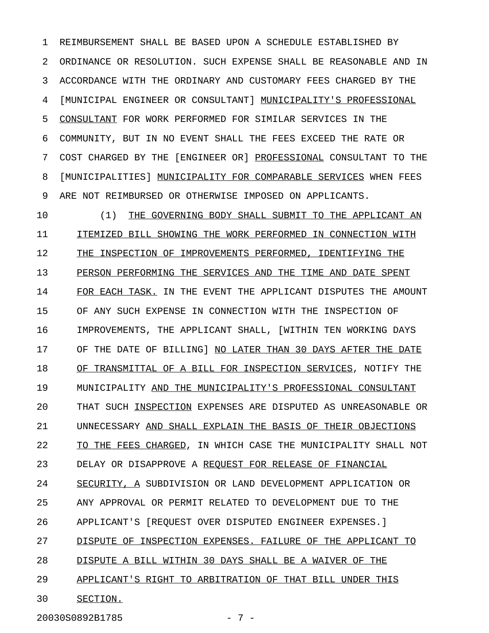1 REIMBURSEMENT SHALL BE BASED UPON A SCHEDULE ESTABLISHED BY 2 ORDINANCE OR RESOLUTION. SUCH EXPENSE SHALL BE REASONABLE AND IN 3 ACCORDANCE WITH THE ORDINARY AND CUSTOMARY FEES CHARGED BY THE 4 [MUNICIPAL ENGINEER OR CONSULTANT] MUNICIPALITY'S PROFESSIONAL 5 CONSULTANT FOR WORK PERFORMED FOR SIMILAR SERVICES IN THE 6 COMMUNITY, BUT IN NO EVENT SHALL THE FEES EXCEED THE RATE OR 7 COST CHARGED BY THE [ENGINEER OR] PROFESSIONAL CONSULTANT TO THE 8 [MUNICIPALITIES] MUNICIPALITY FOR COMPARABLE SERVICES WHEN FEES 9 ARE NOT REIMBURSED OR OTHERWISE IMPOSED ON APPLICANTS.

10 (1) THE GOVERNING BODY SHALL SUBMIT TO THE APPLICANT AN \_\_\_\_\_\_\_\_\_\_\_\_\_\_\_\_\_\_\_\_\_\_\_\_\_\_\_\_\_\_\_\_\_\_\_\_\_\_\_\_\_\_\_\_\_\_\_\_\_\_\_ 11 ITEMIZED BILL SHOWING THE WORK PERFORMED IN CONNECTION WITH 12 THE INSPECTION OF IMPROVEMENTS PERFORMED, IDENTIFYING THE 13 PERSON PERFORMING THE SERVICES AND THE TIME AND DATE SPENT 14 FOR EACH TASK. IN THE EVENT THE APPLICANT DISPUTES THE AMOUNT 15 OF ANY SUCH EXPENSE IN CONNECTION WITH THE INSPECTION OF 16 IMPROVEMENTS, THE APPLICANT SHALL, [WITHIN TEN WORKING DAYS 17 OF THE DATE OF BILLING] NO LATER THAN 30 DAYS AFTER THE DATE 18 OF TRANSMITTAL OF A BILL FOR INSPECTION SERVICES, NOTIFY THE 19 MUNICIPALITY AND THE MUNICIPALITY'S PROFESSIONAL CONSULTANT 20 THAT SUCH INSPECTION EXPENSES ARE DISPUTED AS UNREASONABLE OR 21 UNNECESSARY AND SHALL EXPLAIN THE BASIS OF THEIR OBJECTIONS 22 TO THE FEES CHARGED, IN WHICH CASE THE MUNICIPALITY SHALL NOT 23 DELAY OR DISAPPROVE A REQUEST FOR RELEASE OF FINANCIAL 24 SECURITY, A SUBDIVISION OR LAND DEVELOPMENT APPLICATION OR 25 ANY APPROVAL OR PERMIT RELATED TO DEVELOPMENT DUE TO THE 26 APPLICANT'S [REQUEST OVER DISPUTED ENGINEER EXPENSES.] 27 DISPUTE OF INSPECTION EXPENSES. FAILURE OF THE APPLICANT TO 28 DISPUTE A BILL WITHIN 30 DAYS SHALL BE A WAIVER OF THE 29 APPLICANT'S RIGHT TO ARBITRATION OF THAT BILL UNDER THIS 30 SECTION.

20030S0892B1785 - 7 -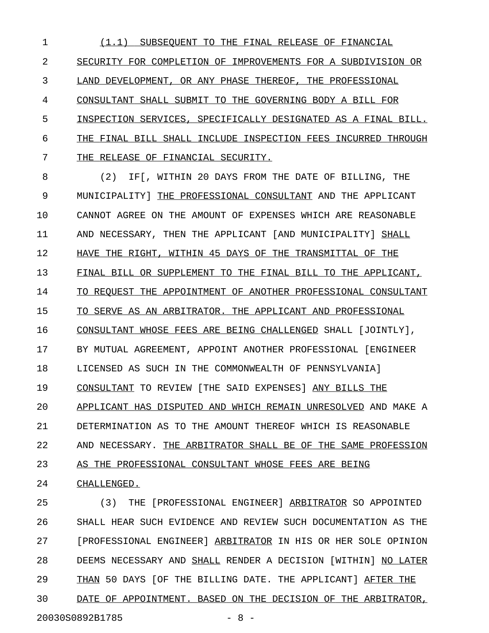1 (1.1) SUBSEQUENT TO THE FINAL RELEASE OF FINANCIAL \_\_\_\_\_\_\_\_\_\_\_\_\_\_\_\_\_\_\_\_\_\_\_\_\_\_\_\_\_\_\_\_\_\_\_\_\_\_\_\_\_\_\_\_\_\_\_\_\_\_\_ 2 SECURITY FOR COMPLETION OF IMPROVEMENTS FOR A SUBDIVISION OR 3 LAND DEVELOPMENT, OR ANY PHASE THEREOF, THE PROFESSIONAL 4 CONSULTANT SHALL SUBMIT TO THE GOVERNING BODY A BILL FOR 5 INSPECTION SERVICES, SPECIFICALLY DESIGNATED AS A FINAL BILL. 6 THE FINAL BILL SHALL INCLUDE INSPECTION FEES INCURRED THROUGH 7 THE RELEASE OF FINANCIAL SECURITY.

8 (2) IF[, WITHIN 20 DAYS FROM THE DATE OF BILLING, THE 9 MUNICIPALITY | THE PROFESSIONAL CONSULTANT AND THE APPLICANT 10 CANNOT AGREE ON THE AMOUNT OF EXPENSES WHICH ARE REASONABLE 11 AND NECESSARY, THEN THE APPLICANT [AND MUNICIPALITY] SHALL 12 HAVE THE RIGHT, WITHIN 45 DAYS OF THE TRANSMITTAL OF THE 13 FINAL BILL OR SUPPLEMENT TO THE FINAL BILL TO THE APPLICANT, 14 TO REQUEST THE APPOINTMENT OF ANOTHER PROFESSIONAL CONSULTANT 15 TO SERVE AS AN ARBITRATOR. THE APPLICANT AND PROFESSIONAL 16 CONSULTANT WHOSE FEES ARE BEING CHALLENGED SHALL [JOINTLY], 17 BY MUTUAL AGREEMENT, APPOINT ANOTHER PROFESSIONAL [ENGINEER 18 LICENSED AS SUCH IN THE COMMONWEALTH OF PENNSYLVANIA] 19 CONSULTANT TO REVIEW [THE SAID EXPENSES] ANY BILLS THE 20 APPLICANT HAS DISPUTED AND WHICH REMAIN UNRESOLVED AND MAKE A 21 DETERMINATION AS TO THE AMOUNT THEREOF WHICH IS REASONABLE 22 AND NECESSARY. THE ARBITRATOR SHALL BE OF THE SAME PROFESSION 23 AS THE PROFESSIONAL CONSULTANT WHOSE FEES ARE BEING 24 CHALLENGED.

25 (3) THE [PROFESSIONAL ENGINEER] ARBITRATOR SO APPOINTED 26 SHALL HEAR SUCH EVIDENCE AND REVIEW SUCH DOCUMENTATION AS THE 27 [PROFESSIONAL ENGINEER] ARBITRATOR IN HIS OR HER SOLE OPINION 28 DEEMS NECESSARY AND SHALL RENDER A DECISION [WITHIN] NO LATER 29 THAN 50 DAYS [OF THE BILLING DATE. THE APPLICANT] AFTER THE 30 DATE OF APPOINTMENT. BASED ON THE DECISION OF THE ARBITRATOR, 20030S0892B1785 - 8 -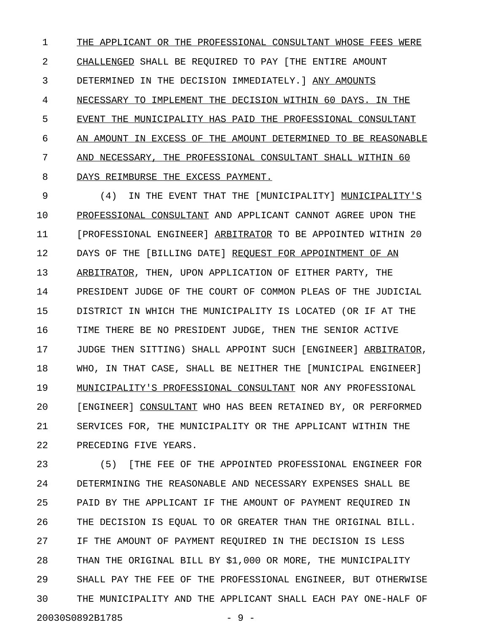1 THE APPLICANT OR THE PROFESSIONAL CONSULTANT WHOSE FEES WERE 2 CHALLENGED SHALL BE REQUIRED TO PAY [THE ENTIRE AMOUNT 3 DETERMINED IN THE DECISION IMMEDIATELY. ] ANY AMOUNTS 4 NECESSARY TO IMPLEMENT THE DECISION WITHIN 60 DAYS. IN THE 5 EVENT THE MUNICIPALITY HAS PAID THE PROFESSIONAL CONSULTANT 6 AN AMOUNT IN EXCESS OF THE AMOUNT DETERMINED TO BE REASONABLE 7 AND NECESSARY, THE PROFESSIONAL CONSULTANT SHALL WITHIN 60 8 DAYS REIMBURSE THE EXCESS PAYMENT.

9 (4) IN THE EVENT THAT THE [MUNICIPALITY] MUNICIPALITY'S \_\_\_\_\_\_\_\_\_\_\_\_\_\_ 10 PROFESSIONAL CONSULTANT AND APPLICANT CANNOT AGREE UPON THE 11 [PROFESSIONAL ENGINEER] ARBITRATOR TO BE APPOINTED WITHIN 20 12 DAYS OF THE [BILLING DATE] REQUEST FOR APPOINTMENT OF AN 13 ARBITRATOR, THEN, UPON APPLICATION OF EITHER PARTY, THE 14 PRESIDENT JUDGE OF THE COURT OF COMMON PLEAS OF THE JUDICIAL 15 DISTRICT IN WHICH THE MUNICIPALITY IS LOCATED (OR IF AT THE 16 TIME THERE BE NO PRESIDENT JUDGE, THEN THE SENIOR ACTIVE 17 JUDGE THEN SITTING) SHALL APPOINT SUCH [ENGINEER] ARBITRATOR, 18 WHO, IN THAT CASE, SHALL BE NEITHER THE [MUNICIPAL ENGINEER] 19 MUNICIPALITY'S PROFESSIONAL CONSULTANT NOR ANY PROFESSIONAL 20 [ENGINEER] CONSULTANT WHO HAS BEEN RETAINED BY, OR PERFORMED 21 SERVICES FOR, THE MUNICIPALITY OR THE APPLICANT WITHIN THE 22 PRECEDING FIVE YEARS.

23 (5) [THE FEE OF THE APPOINTED PROFESSIONAL ENGINEER FOR 24 DETERMINING THE REASONABLE AND NECESSARY EXPENSES SHALL BE 25 PAID BY THE APPLICANT IF THE AMOUNT OF PAYMENT REQUIRED IN 26 THE DECISION IS EQUAL TO OR GREATER THAN THE ORIGINAL BILL. 27 IF THE AMOUNT OF PAYMENT REQUIRED IN THE DECISION IS LESS 28 THAN THE ORIGINAL BILL BY \$1,000 OR MORE, THE MUNICIPALITY 29 SHALL PAY THE FEE OF THE PROFESSIONAL ENGINEER, BUT OTHERWISE 30 THE MUNICIPALITY AND THE APPLICANT SHALL EACH PAY ONE-HALF OF 20030S0892B1785 - 9 -